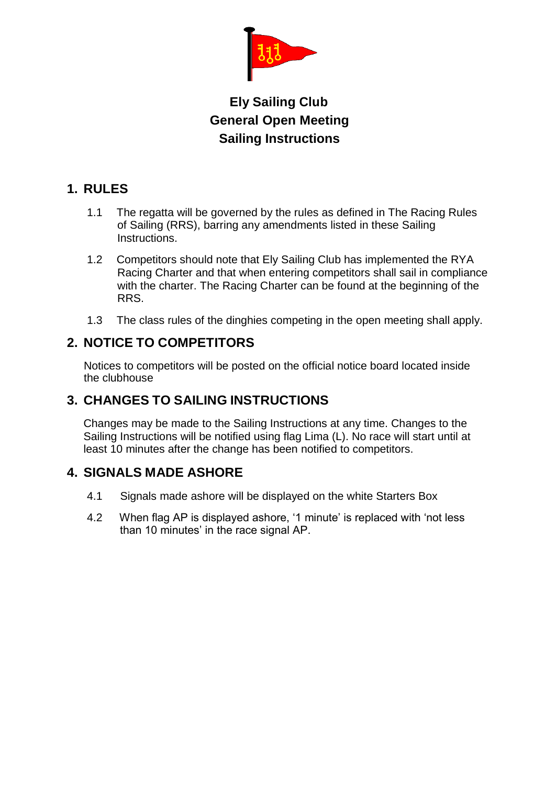

# **Ely Sailing Club General Open Meeting Sailing Instructions**

### **1. RULES**

- 1.1 The regatta will be governed by the rules as defined in The Racing Rules of Sailing (RRS), barring any amendments listed in these Sailing Instructions.
- 1.2 Competitors should note that Ely Sailing Club has implemented the RYA Racing Charter and that when entering competitors shall sail in compliance with the charter. The Racing Charter can be found at the beginning of the RRS.
- 1.3 The class rules of the dinghies competing in the open meeting shall apply.

### **2. NOTICE TO COMPETITORS**

Notices to competitors will be posted on the official notice board located inside the clubhouse

### **3. CHANGES TO SAILING INSTRUCTIONS**

Changes may be made to the Sailing Instructions at any time. Changes to the Sailing Instructions will be notified using flag Lima (L). No race will start until at least 10 minutes after the change has been notified to competitors.

### **4. SIGNALS MADE ASHORE**

- 4.1 Signals made ashore will be displayed on the white Starters Box
- 4.2 When flag AP is displayed ashore, '1 minute' is replaced with 'not less than 10 minutes' in the race signal AP.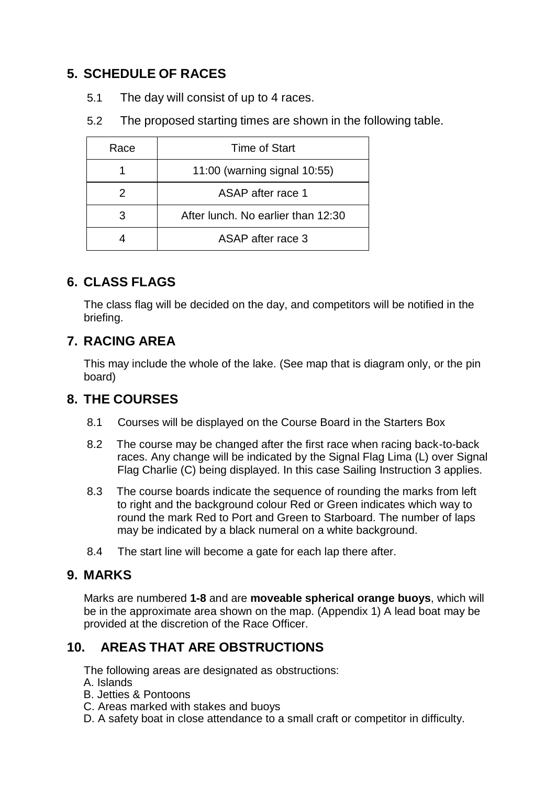## **5. SCHEDULE OF RACES**

- 5.1 The day will consist of up to 4 races.
- 5.2 The proposed starting times are shown in the following table.

| Race | Time of Start                      |
|------|------------------------------------|
|      | 11:00 (warning signal 10:55)       |
| 2    | ASAP after race 1                  |
| 3    | After lunch. No earlier than 12:30 |
|      | ASAP after race 3                  |

## **6. CLASS FLAGS**

The class flag will be decided on the day, and competitors will be notified in the briefing.

## **7. RACING AREA**

This may include the whole of the lake. (See map that is diagram only, or the pin board)

### **8. THE COURSES**

- 8.1 Courses will be displayed on the Course Board in the Starters Box
- 8.2 The course may be changed after the first race when racing back-to-back races. Any change will be indicated by the Signal Flag Lima (L) over Signal Flag Charlie (C) being displayed. In this case Sailing Instruction 3 applies.
- 8.3 The course boards indicate the sequence of rounding the marks from left to right and the background colour Red or Green indicates which way to round the mark Red to Port and Green to Starboard. The number of laps may be indicated by a black numeral on a white background.
- 8.4 The start line will become a gate for each lap there after.

### **9. MARKS**

Marks are numbered **1-8** and are **moveable spherical orange buoys**, which will be in the approximate area shown on the map. (Appendix 1) A lead boat may be provided at the discretion of the Race Officer.

## **10. AREAS THAT ARE OBSTRUCTIONS**

The following areas are designated as obstructions:

- A. Islands
- B. Jetties & Pontoons
- C. Areas marked with stakes and buoys
- D. A safety boat in close attendance to a small craft or competitor in difficulty.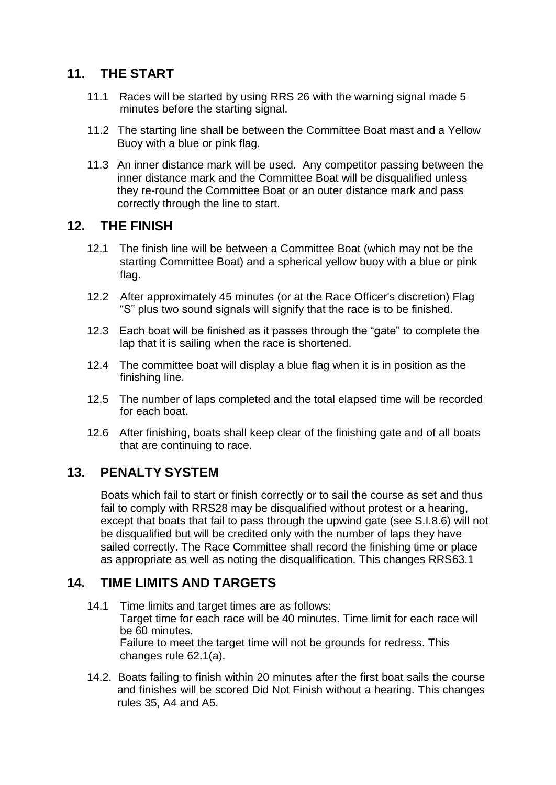### **11. THE START**

- 11.1 Races will be started by using RRS 26 with the warning signal made 5 minutes before the starting signal.
- 11.2 The starting line shall be between the Committee Boat mast and a Yellow Buoy with a blue or pink flag.
- 11.3 An inner distance mark will be used. Any competitor passing between the inner distance mark and the Committee Boat will be disqualified unless they re-round the Committee Boat or an outer distance mark and pass correctly through the line to start.

#### **12. THE FINISH**

- 12.1 The finish line will be between a Committee Boat (which may not be the starting Committee Boat) and a spherical yellow buoy with a blue or pink flag.
- 12.2 After approximately 45 minutes (or at the Race Officer's discretion) Flag "S" plus two sound signals will signify that the race is to be finished.
- 12.3 Each boat will be finished as it passes through the "gate" to complete the lap that it is sailing when the race is shortened.
- 12.4 The committee boat will display a blue flag when it is in position as the finishing line.
- 12.5 The number of laps completed and the total elapsed time will be recorded for each boat.
- 12.6 After finishing, boats shall keep clear of the finishing gate and of all boats that are continuing to race.

### **13. PENALTY SYSTEM**

Boats which fail to start or finish correctly or to sail the course as set and thus fail to comply with RRS28 may be disqualified without protest or a hearing, except that boats that fail to pass through the upwind gate (see S.I.8.6) will not be disqualified but will be credited only with the number of laps they have sailed correctly. The Race Committee shall record the finishing time or place as appropriate as well as noting the disqualification. This changes RRS63.1

## **14. TIME LIMITS AND TARGETS**

- 14.1 Time limits and target times are as follows: Target time for each race will be 40 minutes. Time limit for each race will be 60 minutes. Failure to meet the target time will not be grounds for redress. This changes rule 62.1(a).
- 14.2. Boats failing to finish within 20 minutes after the first boat sails the course and finishes will be scored Did Not Finish without a hearing. This changes rules 35, A4 and A5.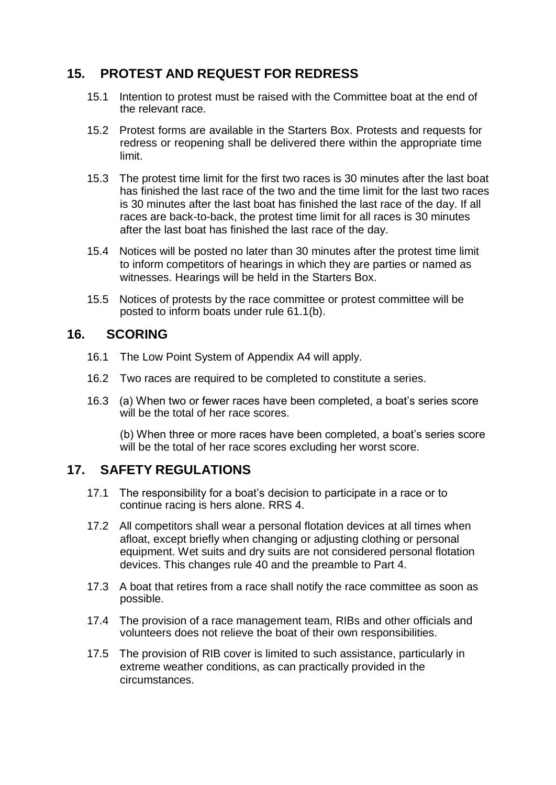#### **15. PROTEST AND REQUEST FOR REDRESS**

- 15.1 Intention to protest must be raised with the Committee boat at the end of the relevant race.
- 15.2 Protest forms are available in the Starters Box. Protests and requests for redress or reopening shall be delivered there within the appropriate time limit.
- 15.3 The protest time limit for the first two races is 30 minutes after the last boat has finished the last race of the two and the time limit for the last two races is 30 minutes after the last boat has finished the last race of the day. If all races are back-to-back, the protest time limit for all races is 30 minutes after the last boat has finished the last race of the day.
- 15.4 Notices will be posted no later than 30 minutes after the protest time limit to inform competitors of hearings in which they are parties or named as witnesses. Hearings will be held in the Starters Box.
- 15.5 Notices of protests by the race committee or protest committee will be posted to inform boats under rule 61.1(b).

#### **16. SCORING**

- 16.1 The Low Point System of Appendix A4 will apply.
- 16.2 Two races are required to be completed to constitute a series.
- 16.3 (a) When two or fewer races have been completed, a boat's series score will be the total of her race scores.

(b) When three or more races have been completed, a boat's series score will be the total of her race scores excluding her worst score.

#### **17. SAFETY REGULATIONS**

- 17.1 The responsibility for a boat's decision to participate in a race or to continue racing is hers alone. RRS 4.
- 17.2 All competitors shall wear a personal flotation devices at all times when afloat, except briefly when changing or adjusting clothing or personal equipment. Wet suits and dry suits are not considered personal flotation devices. This changes rule 40 and the preamble to Part 4.
- 17.3 A boat that retires from a race shall notify the race committee as soon as possible.
- 17.4 The provision of a race management team, RIBs and other officials and volunteers does not relieve the boat of their own responsibilities.
- 17.5 The provision of RIB cover is limited to such assistance, particularly in extreme weather conditions, as can practically provided in the circumstances.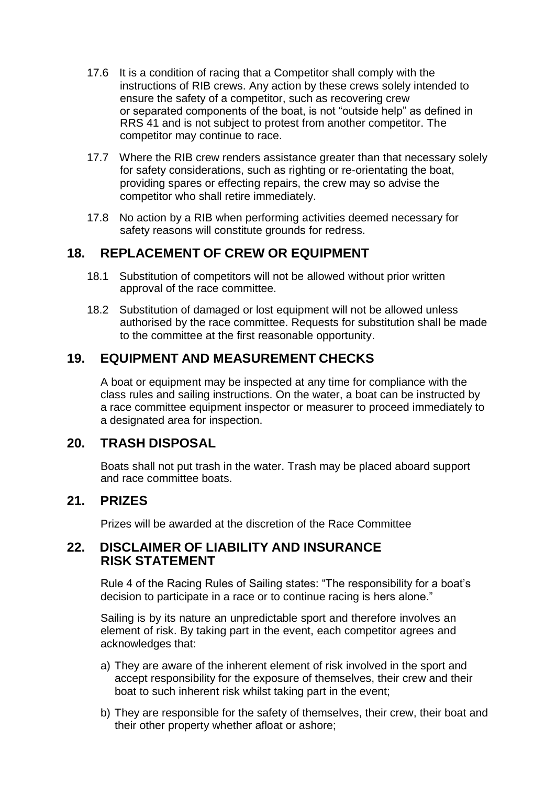- 17.6 It is a condition of racing that a Competitor shall comply with the instructions of RIB crews. Any action by these crews solely intended to ensure the safety of a competitor, such as recovering crew or separated components of the boat, is not "outside help" as defined in RRS 41 and is not subject to protest from another competitor. The competitor may continue to race.
- 17.7 Where the RIB crew renders assistance greater than that necessary solely for safety considerations, such as righting or re-orientating the boat, providing spares or effecting repairs, the crew may so advise the competitor who shall retire immediately.
- 17.8 No action by a RIB when performing activities deemed necessary for safety reasons will constitute grounds for redress.

#### **18. REPLACEMENT OF CREW OR EQUIPMENT**

- 18.1 Substitution of competitors will not be allowed without prior written approval of the race committee.
- 18.2 Substitution of damaged or lost equipment will not be allowed unless authorised by the race committee. Requests for substitution shall be made to the committee at the first reasonable opportunity.

#### **19. EQUIPMENT AND MEASUREMENT CHECKS**

A boat or equipment may be inspected at any time for compliance with the class rules and sailing instructions. On the water, a boat can be instructed by a race committee equipment inspector or measurer to proceed immediately to a designated area for inspection.

#### **20. TRASH DISPOSAL**

Boats shall not put trash in the water. Trash may be placed aboard support and race committee boats.

#### **21. PRIZES**

Prizes will be awarded at the discretion of the Race Committee

#### **22. DISCLAIMER OF LIABILITY AND INSURANCE RISK STATEMENT**

Rule 4 of the Racing Rules of Sailing states: "The responsibility for a boat's decision to participate in a race or to continue racing is hers alone."

Sailing is by its nature an unpredictable sport and therefore involves an element of risk. By taking part in the event, each competitor agrees and acknowledges that:

- a) They are aware of the inherent element of risk involved in the sport and accept responsibility for the exposure of themselves, their crew and their boat to such inherent risk whilst taking part in the event;
- b) They are responsible for the safety of themselves, their crew, their boat and their other property whether afloat or ashore;